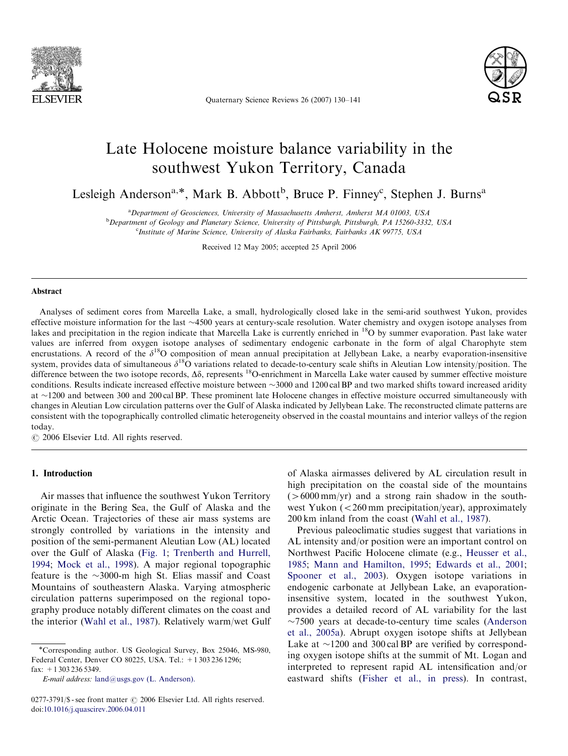

Quaternary Science Reviews 26 (2007) 130–141



# Late Holocene moisture balance variability in the southwest Yukon Territory, Canada

Lesleigh Anderson<sup>a,\*</sup>, Mark B. Abbott<sup>b</sup>, Bruce P. Finney<sup>c</sup>, Stephen J. Burns<sup>a</sup>

<sup>a</sup> Department of Geosciences, University of Massachusetts Amherst, Amherst MA 01003, USA

<sup>b</sup>Department of Geology and Planetary Science, University of Pittsburgh, Pittsburgh, PA 15260-3332, USA <sup>c</sup>Institute of Marine Science, University of Alaska Fairbanks, Fairbanks AK 99775, USA

Received 12 May 2005; accepted 25 April 2006

#### Abstract

Analyses of sediment cores from Marcella Lake, a small, hydrologically closed lake in the semi-arid southwest Yukon, provides effective moisture information for the last ~4500 years at century-scale resolution. Water chemistry and oxygen isotope analyses from lakes and precipitation in the region indicate that Marcella Lake is currently enriched in <sup>18</sup>O by summer evaporation. Past lake water values are inferred from oxygen isotope analyses of sedimentary endogenic carbonate in the form of algal Charophyte stem encrustations. A record of the  $\delta^{18}O$  composition of mean annual precipitation at Jellybean Lake, a nearby evaporation-insensitive system, provides data of simultaneous  $\delta^{18}$ O variations related to decade-to-century scale shifts in Aleutian Low intensity/position. The difference between the two isotope records,  $\Delta \delta$ , represents <sup>18</sup>O-enrichment in Marcella Lake water caused by summer effective moisture conditions. Results indicate increased effective moisture between  $\sim$ 3000 and 1200 cal BP and two marked shifts toward increased aridity at ~1200 and between 300 and 200 cal BP. These prominent late Holocene changes in effective moisture occurred simultaneously with changes in Aleutian Low circulation patterns over the Gulf of Alaska indicated by Jellybean Lake. The reconstructed climate patterns are consistent with the topographically controlled climatic heterogeneity observed in the coastal mountains and interior valleys of the region today.

 $O$  2006 Elsevier Ltd. All rights reserved.

## 1. Introduction

Air masses that influence the southwest Yukon Territory originate in the Bering Sea, the Gulf of Alaska and the Arctic Ocean. Trajectories of these air mass systems are strongly controlled by variations in the intensity and position of the semi-permanent Aleutian Low (AL) located over the Gulf of Alaska [\(Fig. 1;](#page-1-0) [Trenberth and Hurrell,](#page-11-0) [1994;](#page-11-0) [Mock et al., 1998\)](#page-10-0). A major regional topographic feature is the  $\sim$ 3000-m high St. Elias massif and Coast Mountains of southeastern Alaska. Varying atmospheric circulation patterns superimposed on the regional topography produce notably different climates on the coast and the interior [\(Wahl et al., 1987](#page-11-0)). Relatively warm/wet Gulf

E-mail address: [land@usgs.gov \(L. Anderson\).](mailto:land@usgs.gov)

of Alaska airmasses delivered by AL circulation result in high precipitation on the coastal side of the mountains  $(56000 \text{ mm/yr})$  and a strong rain shadow in the southwest Yukon  $\left($  < 260 mm precipitation/year), approximately 200 km inland from the coast [\(Wahl et al., 1987\)](#page-11-0).

Previous paleoclimatic studies suggest that variations in AL intensity and/or position were an important control on Northwest Pacific Holocene climate (e.g., [Heusser et al.,](#page-10-0) [1985;](#page-10-0) [Mann and Hamilton, 1995;](#page-10-0) [Edwards et al., 2001](#page-10-0); [Spooner et al., 2003\)](#page-11-0). Oxygen isotope variations in endogenic carbonate at Jellybean Lake, an evaporationinsensitive system, located in the southwest Yukon, provides a detailed record of AL variability for the last  $\sim$ 7500 years at decade-to-century time scales ([Anderson](#page-9-0) [et al., 2005a\)](#page-9-0). Abrupt oxygen isotope shifts at Jellybean Lake at  $\sim$ 1200 and 300 cal BP are verified by corresponding oxygen isotope shifts at the summit of Mt. Logan and interpreted to represent rapid AL intensification and/or eastward shifts ([Fisher et al., in press\)](#page-10-0). In contrast,

<sup>-</sup>Corresponding author. US Geological Survey, Box 25046, MS-980, Federal Center, Denver CO 80225, USA. Tel.: +1 303 236 1296; fax: +1 303 236 5349.

 $0277-3791/\$  - see front matter  $\odot$  2006 Elsevier Ltd. All rights reserved. doi:[10.1016/j.quascirev.2006.04.011](dx.doi.org/10.1016/j.quascirev.2006.04.011)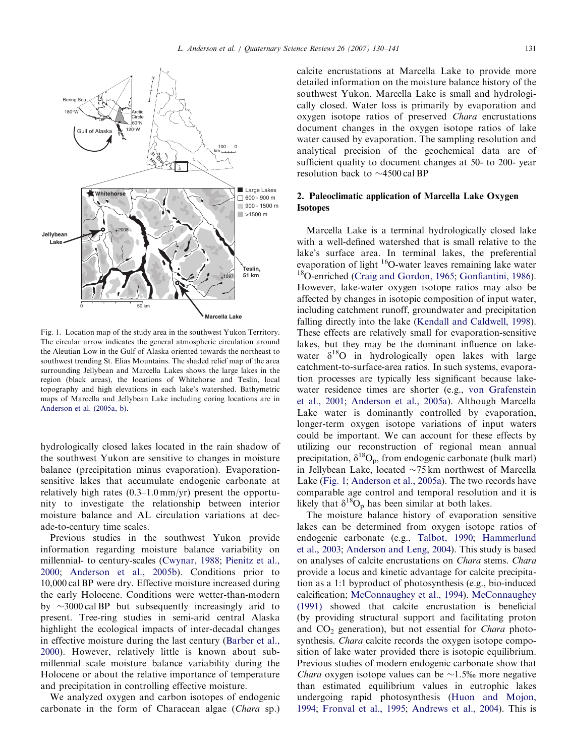<span id="page-1-0"></span>

Fig. 1. Location map of the study area in the southwest Yukon Territory. The circular arrow indicates the general atmospheric circulation around the Aleutian Low in the Gulf of Alaska oriented towards the northeast to southwest trending St. Elias Mountains. The shaded relief map of the area surrounding Jellybean and Marcella Lakes shows the large lakes in the region (black areas), the locations of Whitehorse and Teslin, local topography and high elevations in each lake's watershed. Bathymetric maps of Marcella and Jellybean Lake including coring locations are in [Anderson et al. \(2005a, b\).](#page-9-0)

hydrologically closed lakes located in the rain shadow of the southwest Yukon are sensitive to changes in moisture balance (precipitation minus evaporation). Evaporationsensitive lakes that accumulate endogenic carbonate at relatively high rates (0.3–1.0 mm/yr) present the opportunity to investigate the relationship between interior moisture balance and AL circulation variations at decade-to-century time scales.

Previous studies in the southwest Yukon provide information regarding moisture balance variability on millennial- to century-scales [\(Cwynar, 1988](#page-10-0); [Pienitz et al.,](#page-11-0) [2000](#page-11-0); [Anderson et al., 2005b\)](#page-9-0). Conditions prior to 10,000 cal BP were dry. Effective moisture increased during the early Holocene. Conditions were wetter-than-modern by  $\sim$ 3000 cal BP but subsequently increasingly arid to present. Tree-ring studies in semi-arid central Alaska highlight the ecological impacts of inter-decadal changes in effective moisture during the last century [\(Barber et al.,](#page-10-0) [2000](#page-10-0)). However, relatively little is known about submillennial scale moisture balance variability during the Holocene or about the relative importance of temperature and precipitation in controlling effective moisture.

We analyzed oxygen and carbon isotopes of endogenic carbonate in the form of Characean algae (Chara sp.) calcite encrustations at Marcella Lake to provide more detailed information on the moisture balance history of the southwest Yukon. Marcella Lake is small and hydrologically closed. Water loss is primarily by evaporation and oxygen isotope ratios of preserved Chara encrustations document changes in the oxygen isotope ratios of lake water caused by evaporation. The sampling resolution and analytical precision of the geochemical data are of sufficient quality to document changes at 50- to 200- year resolution back to  $\sim$ 4500 cal BP

# 2. Paleoclimatic application of Marcella Lake Oxygen Isotopes

Marcella Lake is a terminal hydrologically closed lake with a well-defined watershed that is small relative to the lake's surface area. In terminal lakes, the preferential evaporation of light 16O-water leaves remaining lake water 18O-enriched ([Craig and Gordon, 1965;](#page-10-0) [Gonfiantini, 1986\)](#page-10-0). However, lake-water oxygen isotope ratios may also be affected by changes in isotopic composition of input water, including catchment runoff, groundwater and precipitation falling directly into the lake [\(Kendall and Caldwell, 1998\)](#page-10-0). These effects are relatively small for evaporation-sensitive lakes, but they may be the dominant influence on lakewater  $\delta^{18}O$  in hydrologically open lakes with large catchment-to-surface-area ratios. In such systems, evaporation processes are typically less significant because lakewater residence times are shorter (e.g., [von Grafenstein](#page-11-0) [et al., 2001](#page-11-0); [Anderson et al., 2005a](#page-9-0)). Although Marcella Lake water is dominantly controlled by evaporation, longer-term oxygen isotope variations of input waters could be important. We can account for these effects by utilizing our reconstruction of regional mean annual precipitation,  $\delta^{18}O_p$ , from endogenic carbonate (bulk marl) in Jellybean Lake, located  $\sim$ 75 km northwest of Marcella Lake (Fig. 1; [Anderson et al., 2005a](#page-9-0)). The two records have comparable age control and temporal resolution and it is likely that  $\delta^{18}O_p$  has been similar at both lakes.

The moisture balance history of evaporation sensitive lakes can be determined from oxygen isotope ratios of endogenic carbonate (e.g., [Talbot, 1990](#page-11-0); [Hammerlund](#page-10-0) [et al., 2003;](#page-10-0) [Anderson and Leng, 2004\)](#page-10-0). This study is based on analyses of calcite encrustations on Chara stems. Chara provide a locus and kinetic advantage for calcite precipitation as a 1:1 byproduct of photosynthesis (e.g., bio-induced calcification; [McConnaughey et al., 1994\)](#page-10-0). [McConnaughey](#page-10-0) [\(1991\)](#page-10-0) showed that calcite encrustation is beneficial (by providing structural support and facilitating proton and  $CO<sub>2</sub>$  generation), but not essential for *Chara* photosynthesis. *Chara* calcite records the oxygen isotope composition of lake water provided there is isotopic equilibrium. Previous studies of modern endogenic carbonate show that *Chara* oxygen isotope values can be  $\sim$ 1.5% more negative than estimated equilibrium values in eutrophic lakes undergoing rapid photosynthesis [\(Huon and Mojon,](#page-10-0) [1994](#page-10-0); [Fronval et al., 1995](#page-10-0); [Andrews et al., 2004\)](#page-10-0). This is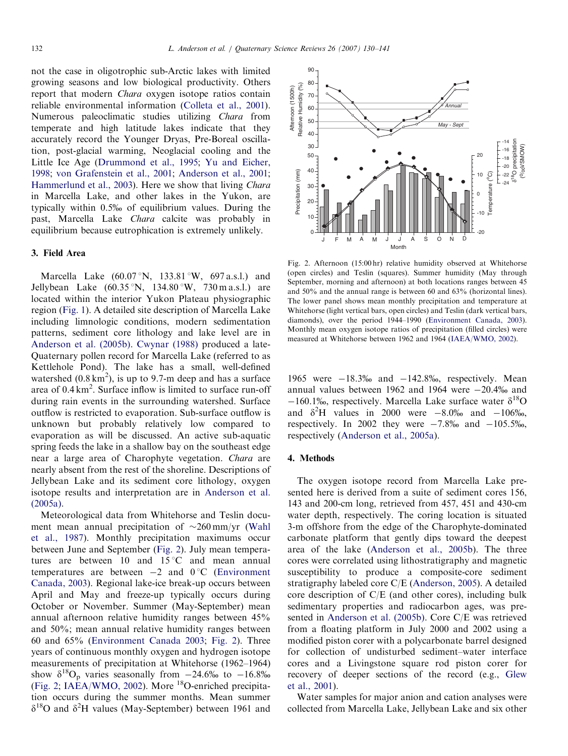<span id="page-2-0"></span>not the case in oligotrophic sub-Arctic lakes with limited growing seasons and low biological productivity. Others report that modern Chara oxygen isotope ratios contain reliable environmental information ([Colleta et al., 2001\)](#page-10-0). Numerous paleoclimatic studies utilizing Chara from temperate and high latitude lakes indicate that they accurately record the Younger Dryas, Pre-Boreal oscillation, post-glacial warming, Neoglacial cooling and the Little Ice Age ([Drummond et al., 1995;](#page-10-0) [Yu and Eicher,](#page-11-0) [1998](#page-11-0); [von Grafenstein et al., 2001;](#page-11-0) [Anderson et al., 2001](#page-10-0); [Hammerlund et al., 2003](#page-10-0)). Here we show that living *Chara* in Marcella Lake, and other lakes in the Yukon, are typically within 0.5% of equilibrium values. During the past, Marcella Lake Chara calcite was probably in equilibrium because eutrophication is extremely unlikely.

# 3. Field Area

Marcella Lake  $(60.07 \text{°N}, 133.81 \text{°W}, 697 \text{ a.s.}!)$  and Jellybean Lake  $(60.35 \degree N, 134.80 \degree W, 730 \text{ m a.s.}$ l.) are located within the interior Yukon Plateau physiographic region [\(Fig. 1\)](#page-1-0). A detailed site description of Marcella Lake including limnologic conditions, modern sedimentation patterns, sediment core lithology and lake level are in [Anderson et al. \(2005b\).](#page-9-0) [Cwynar \(1988\)](#page-10-0) produced a late-Quaternary pollen record for Marcella Lake (referred to as Kettlehole Pond). The lake has a small, well-defined watershed  $(0.8 \text{ km}^2)$ , is up to 9.7-m deep and has a surface area of 0.4 km<sup>2</sup>. Surface inflow is limited to surface run-off during rain events in the surrounding watershed. Surface outflow is restricted to evaporation. Sub-surface outflow is unknown but probably relatively low compared to evaporation as will be discussed. An active sub-aquatic spring feeds the lake in a shallow bay on the southeast edge near a large area of Charophyte vegetation. Chara are nearly absent from the rest of the shoreline. Descriptions of Jellybean Lake and its sediment core lithology, oxygen isotope results and interpretation are in [Anderson et al.](#page-9-0) [\(2005a\)](#page-9-0).

Meteorological data from Whitehorse and Teslin document mean annual precipitation of  $\sim$ 260 mm/yr ([Wahl](#page-11-0) [et al., 1987\)](#page-11-0). Monthly precipitation maximums occur between June and September (Fig. 2). July mean temperatures are between 10 and  $15^{\circ}$ C and mean annual temperatures are between  $-2$  and  $0^{\circ}$ C ([Environment](#page-10-0) [Canada, 2003\)](#page-10-0). Regional lake-ice break-up occurs between April and May and freeze-up typically occurs during October or November. Summer (May-September) mean annual afternoon relative humidity ranges between 45% and 50%; mean annual relative humidity ranges between 60 and 65% ([Environment Canada 2003](#page-10-0); Fig. 2). Three years of continuous monthly oxygen and hydrogen isotope measurements of precipitation at Whitehorse (1962–1964) show  $\delta^{18}O_p$  varies seasonally from  $-24.6\%$  to  $-16.8\%$ (Fig. 2; [IAEA/WMO, 2002](#page-10-0)). More 18O-enriched precipitation occurs during the summer months. Mean summer  $\delta^{18}$ O and  $\delta^2$ H values (May-September) between 1961 and



Fig. 2. Afternoon (15:00 hr) relative humidity observed at Whitehorse (open circles) and Teslin (squares). Summer humidity (May through September, morning and afternoon) at both locations ranges between 45 and 50% and the annual range is between 60 and 63% (horizontal lines). The lower panel shows mean monthly precipitation and temperature at Whitehorse (light vertical bars, open circles) and Teslin (dark vertical bars, diamonds), over the period 1944–1990 [\(Environment Canada, 2003\)](#page-10-0). Monthly mean oxygen isotope ratios of precipitation (filled circles) were measured at Whitehorse between 1962 and 1964 ([IAEA/WMO, 2002\)](#page-10-0).

1965 were  $-18.3\%$  and  $-142.8\%$ , respectively. Mean annual values between 1962 and 1964 were  $-20.4%$  and  $-160.1\%$ , respectively. Marcella Lake surface water  $\delta^{18}$ O and  $\delta^2$ H values in 2000 were  $-8.0\%$  and  $-106\%$ , respectively. In 2002 they were  $-7.8\%$  and  $-105.5\%$ , respectively ([Anderson et al., 2005a](#page-9-0)).

#### 4. Methods

The oxygen isotope record from Marcella Lake presented here is derived from a suite of sediment cores 156, 143 and 200-cm long, retrieved from 457, 451 and 430-cm water depth, respectively. The coring location is situated 3-m offshore from the edge of the Charophyte-dominated carbonate platform that gently dips toward the deepest area of the lake ([Anderson et al., 2005b\)](#page-9-0). The three cores were correlated using lithostratigraphy and magnetic susceptibility to produce a composite-core sediment stratigraphy labeled core C/E [\(Anderson, 2005](#page-9-0)). A detailed core description of C/E (and other cores), including bulk sedimentary properties and radiocarbon ages, was presented in [Anderson et al. \(2005b\)](#page-9-0). Core C/E was retrieved from a floating platform in July 2000 and 2002 using a modified piston corer with a polycarbonate barrel designed for collection of undisturbed sediment–water interface cores and a Livingstone square rod piston corer for recovery of deeper sections of the record (e.g., [Glew](#page-10-0) [et al., 2001](#page-10-0)).

Water samples for major anion and cation analyses were collected from Marcella Lake, Jellybean Lake and six other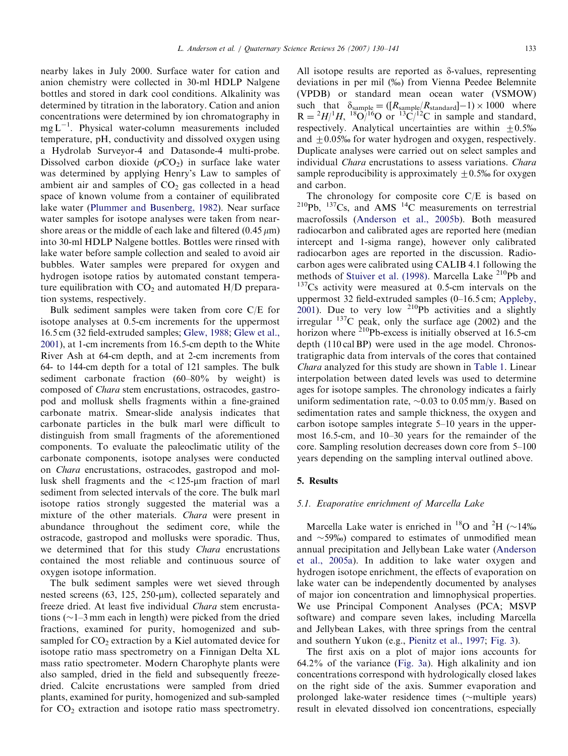nearby lakes in July 2000. Surface water for cation and anion chemistry were collected in 30-ml HDLP Nalgene bottles and stored in dark cool conditions. Alkalinity was determined by titration in the laboratory. Cation and anion concentrations were determined by ion chromatography in  $mg L^{-1}$ . Physical water-column measurements included temperature, pH, conductivity and dissolved oxygen using a Hydrolab Surveyor-4 and Datasonde-4 multi-probe. Dissolved carbon dioxide  $(pCO<sub>2</sub>)$  in surface lake water was determined by applying Henry's Law to samples of ambient air and samples of  $CO<sub>2</sub>$  gas collected in a head space of known volume from a container of equilibrated lake water ([Plummer and Busenberg, 1982](#page-11-0)). Near surface water samples for isotope analyses were taken from nearshore areas or the middle of each lake and filtered  $(0.45 \,\mu m)$ into 30-ml HDLP Nalgene bottles. Bottles were rinsed with lake water before sample collection and sealed to avoid air bubbles. Water samples were prepared for oxygen and hydrogen isotope ratios by automated constant temperature equilibration with  $CO<sub>2</sub>$  and automated H/D preparation systems, respectively.

Bulk sediment samples were taken from core C/E for isotope analyses at 0.5-cm increments for the uppermost 16.5 cm (32 field-extruded samples; [Glew, 1988](#page-10-0); [Glew et al.,](#page-10-0) [2001](#page-10-0)), at 1-cm increments from 16.5-cm depth to the White River Ash at 64-cm depth, and at 2-cm increments from 64- to 144-cm depth for a total of 121 samples. The bulk sediment carbonate fraction (60–80% by weight) is composed of Chara stem encrustations, ostracodes, gastropod and mollusk shells fragments within a fine-grained carbonate matrix. Smear-slide analysis indicates that carbonate particles in the bulk marl were difficult to distinguish from small fragments of the aforementioned components. To evaluate the paleoclimatic utility of the carbonate components, isotope analyses were conducted on Chara encrustations, ostracodes, gastropod and mollusk shell fragments and the  $\langle 125-\mu m\rangle$  fraction of marl sediment from selected intervals of the core. The bulk marl isotope ratios strongly suggested the material was a mixture of the other materials. Chara were present in abundance throughout the sediment core, while the ostracode, gastropod and mollusks were sporadic. Thus, we determined that for this study Chara encrustations contained the most reliable and continuous source of oxygen isotope information.

The bulk sediment samples were wet sieved through nested screens  $(63, 125, 250 \text{-} \mu \text{m})$ , collected separately and freeze dried. At least five individual Chara stem encrustations  $(\sim]$  1–3 mm each in length) were picked from the dried fractions, examined for purity, homogenized and subsampled for  $CO<sub>2</sub>$  extraction by a Kiel automated device for isotope ratio mass spectrometry on a Finnigan Delta XL mass ratio spectrometer. Modern Charophyte plants were also sampled, dried in the field and subsequently freezedried. Calcite encrustations were sampled from dried plants, examined for purity, homogenized and sub-sampled for  $CO<sub>2</sub>$  extraction and isotope ratio mass spectrometry. All isotope results are reported as  $\delta$ -values, representing deviations in per mil (%) from Vienna Peedee Belemnite (VPDB) or standard mean ocean water (VSMOW) such that  $\delta_{\text{sample}} = ([R_{\text{sample}}/R_{\text{standard}}]-1) \times 1000$  where  $R = {}^{2}H/{}^{1}H$ ,  ${}^{18}O/{}^{16}O$  or  ${}^{13}C/{}^{12}C$  in sample and standard, respectively. Analytical uncertainties are within  $\pm 0.5\%$ and  $\pm 0.05\%$  for water hydrogen and oxygen, respectively. Duplicate analyses were carried out on select samples and individual *Chara* encrustations to assess variations. *Chara* sample reproducibility is approximately  $+0.5\%$  for oxygen and carbon.

The chronology for composite core C/E is based on  $^{210}Pb$ ,  $^{137}Cs$ , and AMS  $^{14}C$  measurements on terrestrial macrofossils [\(Anderson et al., 2005b\)](#page-9-0). Both measured radiocarbon and calibrated ages are reported here (median intercept and 1-sigma range), however only calibrated radiocarbon ages are reported in the discussion. Radiocarbon ages were calibrated using CALIB 4.1 following the methods of [Stuiver et al. \(1998\)](#page-11-0). Marcella Lake <sup>210</sup>Pb and  $137Cs$  activity were measured at 0.5-cm intervals on the uppermost 32 field-extruded samples (0–16.5 cm; [Appleby,](#page-10-0) [2001](#page-10-0)). Due to very low  $2^{10}Pb$  activities and a slightly irregular  $137C$  peak, only the surface age (2002) and the horizon where <sup>210</sup>Pb-excess is initially observed at 16.5-cm depth (110 cal BP) were used in the age model. Chronostratigraphic data from intervals of the cores that contained Chara analyzed for this study are shown in [Table 1](#page-4-0). Linear interpolation between dated levels was used to determine ages for isotope samples. The chronology indicates a fairly uniform sedimentation rate,  $\sim 0.03$  to 0.05 mm/y. Based on sedimentation rates and sample thickness, the oxygen and carbon isotope samples integrate 5–10 years in the uppermost 16.5-cm, and 10–30 years for the remainder of the core. Sampling resolution decreases down core from 5–100 years depending on the sampling interval outlined above.

# 5. Results

## 5.1. Evaporative enrichment of Marcella Lake

Marcella Lake water is enriched in <sup>18</sup>O and <sup>2</sup>H ( $\sim$ 14‰ and  $\sim$  59‰) compared to estimates of unmodified mean annual precipitation and Jellybean Lake water ([Anderson](#page-9-0) [et al., 2005a](#page-9-0)). In addition to lake water oxygen and hydrogen isotope enrichment, the effects of evaporation on lake water can be independently documented by analyses of major ion concentration and limnophysical properties. We use Principal Component Analyses (PCA; MSVP software) and compare seven lakes, including Marcella and Jellybean Lakes, with three springs from the central and southern Yukon (e.g., [Pienitz et al., 1997](#page-10-0); [Fig. 3\)](#page-4-0).

The first axis on a plot of major ions accounts for 64.2% of the variance [\(Fig. 3a](#page-4-0)). High alkalinity and ion concentrations correspond with hydrologically closed lakes on the right side of the axis. Summer evaporation and prolonged lake-water residence times  $(\sim$ multiple years) result in elevated dissolved ion concentrations, especially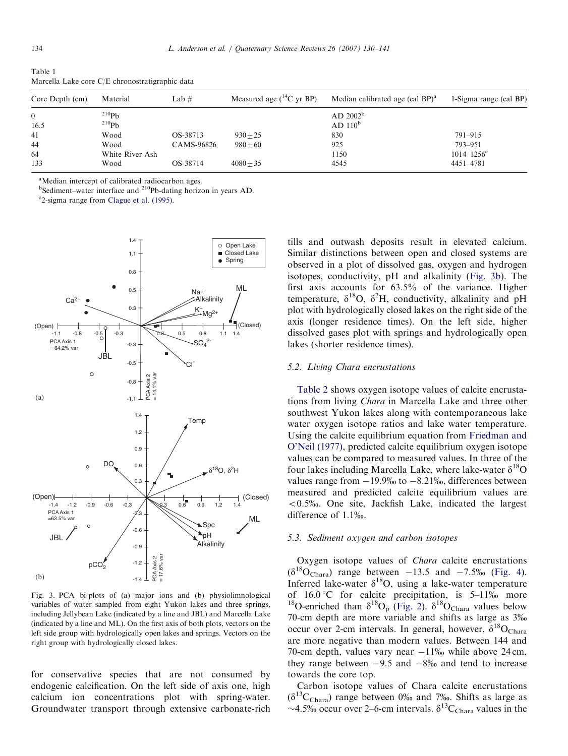| Core Depth (cm) | Material        | Lab $#$    | Measured age $(^{14}C$ yr BP) | Median calibrated age (cal BP) <sup>a</sup> | 1-Sigma range (cal $BP$ ) |
|-----------------|-----------------|------------|-------------------------------|---------------------------------------------|---------------------------|
| $\overline{0}$  | $^{210}Ph$      |            |                               | AD 2002 <sup>b</sup>                        |                           |
| 16.5            | $^{210}Pb$      |            |                               | AD 110 <sup>b</sup>                         |                           |
| 41              | Wood            | OS-38713   | $930 + 25$                    | 830                                         | $791 - 915$               |
| 44              | Wood            | CAMS-96826 | $980 + 60$                    | 925                                         | 793-951                   |
| 64              | White River Ash |            |                               | 1150                                        | $1014 - 1256$ °           |
| 133             | Wood            | OS-38714   | $4080 + 35$                   | 4545                                        | 4451-4781                 |

<span id="page-4-0"></span>Table 1 Marcella Lake core C/E chronostratigraphic data

<sup>a</sup>Median intercept of calibrated radiocarbon ages.

<sup>b</sup>Sediment–water interface and <sup>210</sup>Pb-dating horizon in years AD.

<sup>c</sup>2-sigma range from [Clague et al. \(1995\).](#page-10-0)



Fig. 3. PCA bi-plots of (a) major ions and (b) physiolimnological variables of water sampled from eight Yukon lakes and three springs, including Jellybean Lake (indicated by a line and JBL) and Marcella Lake (indicated by a line and ML). On the first axis of both plots, vectors on the left side group with hydrologically open lakes and springs. Vectors on the right group with hydrologically closed lakes.

for conservative species that are not consumed by endogenic calcification. On the left side of axis one, high calcium ion concentrations plot with spring-water. Groundwater transport through extensive carbonate-rich tills and outwash deposits result in elevated calcium. Similar distinctions between open and closed systems are observed in a plot of dissolved gas, oxygen and hydrogen isotopes, conductivity, pH and alkalinity (Fig. 3b). The first axis accounts for 63.5% of the variance. Higher temperature,  $\delta^{18}O$ ,  $\delta^2H$ , conductivity, alkalinity and pH plot with hydrologically closed lakes on the right side of the axis (longer residence times). On the left side, higher dissolved gases plot with springs and hydrologically open lakes (shorter residence times).

#### 5.2. Living Chara encrustations

[Table 2](#page-5-0) shows oxygen isotope values of calcite encrustations from living Chara in Marcella Lake and three other southwest Yukon lakes along with contemporaneous lake water oxygen isotope ratios and lake water temperature. Using the calcite equilibrium equation from [Friedman and](#page-10-0) [O'Neil \(1977\)](#page-10-0), predicted calcite equilibrium oxygen isotope values can be compared to measured values. In three of the four lakes including Marcella Lake, where lake-water  $\delta^{18}O$ values range from  $-19.9\%$  to  $-8.21\%$ , differences between measured and predicted calcite equilibrium values are  $< 0.5\%$ . One site, Jackfish Lake, indicated the largest difference of 1.1%.

#### 5.3. Sediment oxygen and carbon isotopes

Oxygen isotope values of Chara calcite encrustations  $(\delta^{18}O_{\text{Chara}})$  range between  $-13.5$  and  $-7.5\%$  ([Fig. 4\)](#page-6-0). Inferred lake-water  $\delta^{18}O$ , using a lake-water temperature of  $16.0^{\circ}$ C for calcite precipitation, is  $5-11\%$  more <sup>18</sup>O-enriched than  $\delta^{18}O_p$  [\(Fig. 2](#page-2-0)).  $\delta^{18}O_{Chara}$  values below 70-cm depth are more variable and shifts as large as 3% occur over 2-cm intervals. In general, however,  $\delta^{18}O_{Chara}$ are more negative than modern values. Between 144 and 70-cm depth, values vary near  $-11\%$  while above 24 cm, they range between  $-9.5$  and  $-8\%$  and tend to increase towards the core top.

Carbon isotope values of Chara calcite encrustations  $(\delta^{13}C_{\text{Chara}})$  range between 0% and 7%. Shifts as large as ~4.5‰ occur over 2–6-cm intervals.  $\delta^{13}C_{Chara}$  values in the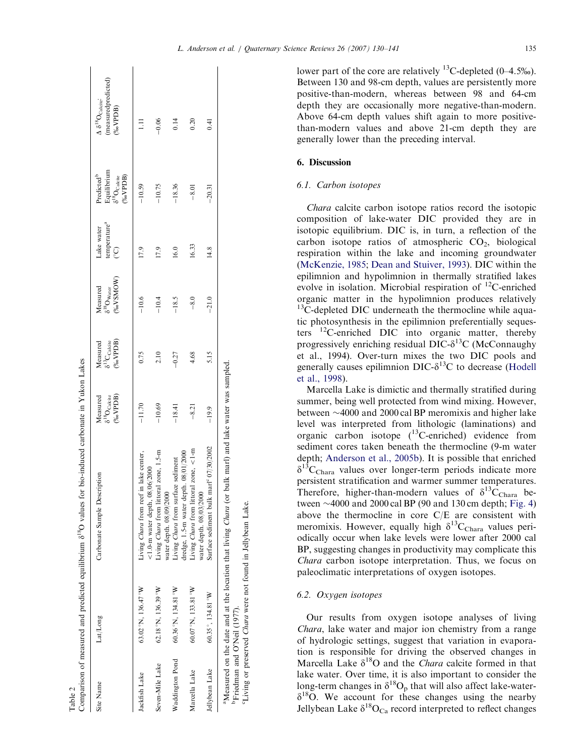<span id="page-5-0"></span>

| Site Name       | Lat/Long                                  | Carbonate Sample Description                                                       | Measured                                     | Measured                                         | Measured                                                   | Lake water                                 | Predicted <sup>b</sup>                                      | $\Delta \delta^{18}O_{\rm Caletic}$ |
|-----------------|-------------------------------------------|------------------------------------------------------------------------------------|----------------------------------------------|--------------------------------------------------|------------------------------------------------------------|--------------------------------------------|-------------------------------------------------------------|-------------------------------------|
|                 |                                           |                                                                                    | $(\%$ oVPDB)<br>$\delta^{18}O_{\rm Calcite}$ | $(*_{0}VPIDB)$<br>$\delta^{13}C_{\rm Calculate}$ | $(% ^{p^{1}}(W)$ $(W)$<br>$\delta^{18}\rm{O}_{\rm{Water}}$ | temperature <sup>a</sup><br>$\overline{C}$ | Equilibrium<br>$\delta^{18}O_{\rm Calicie}$<br>$(\%$ oVPDB) | (measuredpredicted)<br>$(\%oVPDB)$  |
| Jackfish Lake   | $63.02\text{°N}$ , 136.47 °W              | Living <i>Chara</i> from reef in lake center,<br>$<$ 1.0-m water depth, 08/06/2000 | $-11.70$                                     | 0.75                                             | $-10.6$                                                    | 17.9                                       | $-10.59$                                                    |                                     |
| Seven-Mile Lake | $62.18$ $\degree$ N, $136.39$ $\degree$ W | Living Chara from littoral zone, 1.5-m<br>water depth. 08/09/2000                  | $-10.69$                                     | 2.10                                             | $-10.4$                                                    | 17.9                                       | $-10.75$                                                    | $-0.06$                             |
| Waddington Pond | 60.36°N, 134.81°W                         | dredge, 1.5-m water depth. 08/01/2000<br>Living Chara from surface sediment        | $-18.41$                                     | $-0.27$                                          | $-18.5$                                                    | 16.0                                       | $-18.36$                                                    | 0.14                                |
| Marcella Lake   | 60.07 °N, 133.81 °W                       | Living <i>Chara</i> from littoral zone, $\lt$ 1-m<br>water depth. 08/03/2000       | $-8.21$                                      | 4.68                                             | $-8.0$                                                     | 16.33                                      | $-8.01$                                                     | 0.20                                |
| Jellybean Lake  | 60.35°, 134.81°W                          | Surface sediment bulk marl <sup>c</sup> 07/30/2002                                 | $-19.9$                                      | 5.15                                             | $-21.0$                                                    | 14.8                                       | $-20.31$                                                    | 0.41                                |

Table 2

lower part of the core are relatively <sup>13</sup>C-depleted  $(0-4.5\%)$ . Between 130 and 98-cm depth, values are persistently more positive-than-modern, whereas between 98 and 64-cm depth they are occasionally more negative-than-modern. Above 64-cm depth values shift again to more positivethan-modern values and above 21-cm depth they are generally lower than the preceding interval.

## 6. Discussion

## 6.1. Carbon isotopes

Chara calcite carbon isotope ratios record the isotopic composition of lake-water DIC provided they are in isotopic equilibrium. DIC is, in turn, a reflection of the carbon isotope ratios of atmospheric  $CO<sub>2</sub>$ , biological respiration within the lake and incoming groundwater ([McKenzie, 1985;](#page-10-0) [Dean and Stuiver, 1993](#page-10-0)). DIC within the epilimnion and hypolimnion in thermally stratified lakes evolve in isolation. Microbial respiration of 12C-enriched organic matter in the hypolimnion produces relatively <sup>13</sup>C-depleted DIC underneath the thermocline while aquatic photosynthesis in the epilimnion preferentially sequesters 12C-enriched DIC into organic matter, thereby progressively enriching residual DIC- $\delta^{13}$ C (McConnaughy et al., 1994). Over-turn mixes the two DIC pools and generally causes epilimnion  $DIC-<sup>13</sup>C$  to decrease ([Hodell](#page-10-0) [et al., 1998\)](#page-10-0).

Marcella Lake is dimictic and thermally stratified during summer, being well protected from wind mixing. However, between  $\sim$ 4000 and 2000 cal BP meromixis and higher lake level was interpreted from lithologic (laminations) and organic carbon isotope  $(^{13}$ C-enriched) evidence from sediment cores taken beneath the thermocline (9-m water depth; [Anderson et al., 2005b](#page-9-0)). It is possible that enriched  $\delta^{13}$ C<sub>Chara</sub> values over longer-term periods indicate more persistent stratification and warmer summer temperatures. Therefore, higher-than-modern values of  $\delta^{13}C_{Chara}$  between  $\sim$  4000 and 2000 cal BP (90 and 130 cm depth; [Fig. 4](#page-6-0)) above the thermocline in core C/E are consistent with meromixis. However, equally high  $\delta^{13}C_{Chara}$  values periodically occur when lake levels were lower after 2000 cal BP, suggesting changes in productivity may complicate this Chara carbon isotope interpretation. Thus, we focus on paleoclimatic interpretations of oxygen isotopes.

# 6.2. Oxygen isotopes

<sup>c</sup>Living or preserved *Chara* were not found in Jellybean Lake.

'Living or preserved Chara were not found in Jellybean Lake.

Our results from oxygen isotope analyses of living Chara, lake water and major ion chemistry from a range of hydrologic settings, suggest that variation in evaporation is responsible for driving the observed changes in Marcella Lake  $\delta^{18}O$  and the *Chara* calcite formed in that lake water. Over time, it is also important to consider the long-term changes in  $\delta^{18}O_p$  that will also affect lake-water- $\delta^{18}$ O. We account for these changes using the nearby Jellybean Lake  $\delta^{18}O_{Ca}$  record interpreted to reflect changes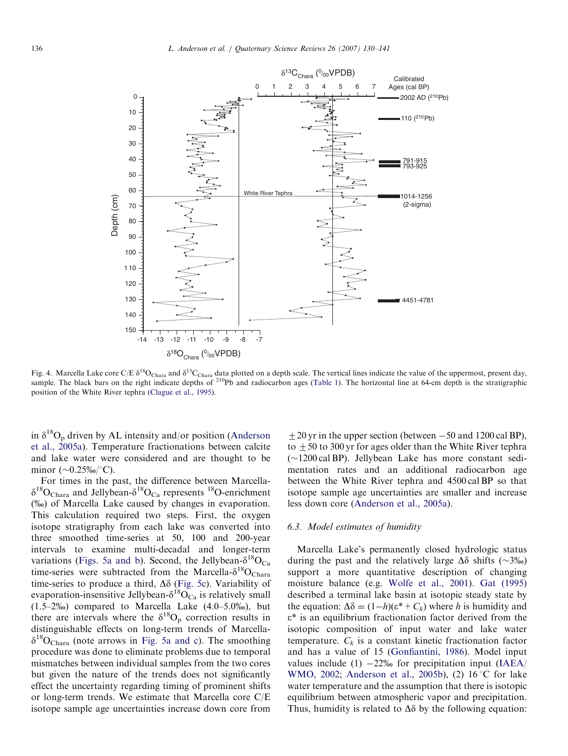<span id="page-6-0"></span>

Fig. 4. Marcella Lake core C/E  $\delta^{18}O_{\text{Chara}}$  and  $\delta^{13}C_{\text{Chara}}$  data plotted on a depth scale. The vertical lines indicate the value of the uppermost, present day, sample. The black bars on the right indicate depths of  $2^{10}Pb$  and radiocarbon ages ([Table 1\)](#page-4-0). The horizontal line at 64-cm depth is the stratigraphic position of the White River tephra ([Clague et al., 1995\)](#page-10-0).

in  $\delta^{18}O_p$  driven by AL intensity and/or position ([Anderson](#page-9-0) [et al., 2005a](#page-9-0)). Temperature fractionations between calcite and lake water were considered and are thought to be minor  $(\sim 0.25\% \cdot \text{C})$ .

For times in the past, the difference between Marcella- $\delta^{18}O_{\text{Chara}}$  and Jellybean- $\delta^{18}O_{\text{Ca}}$  represents  $^{18}O$ -enrichment (%) of Marcella Lake caused by changes in evaporation. This calculation required two steps. First, the oxygen isotope stratigraphy from each lake was converted into three smoothed time-series at 50, 100 and 200-year intervals to examine multi-decadal and longer-term variations [\(Figs. 5a and b\)](#page-7-0). Second, the Jellybean- $\delta^{18}O_{Ca}$ time-series were subtracted from the Marcella- $\delta^{18}O_{Chara}$ time-series to produce a third,  $\Delta\delta$  [\(Fig. 5c](#page-7-0)). Variability of evaporation-insensitive Jellybean- $\delta^{18}O_{Ca}$  is relatively small  $(1.5-2\%)$  compared to Marcella Lake  $(4.0-5.0\%)$ , but there are intervals where the  $\delta^{18}O_p$  correction results in distinguishable effects on long-term trends of Marcella- $\delta^{18}O_{\text{Chara}}$  (note arrows in [Fig. 5a and c\)](#page-7-0). The smoothing procedure was done to eliminate problems due to temporal mismatches between individual samples from the two cores but given the nature of the trends does not significantly effect the uncertainty regarding timing of prominent shifts or long-term trends. We estimate that Marcella core C/E isotope sample age uncertainties increase down core from  $+20$  yr in the upper section (between  $-50$  and 1200 cal BP), to  $\pm$  50 to 300 yr for ages older than the White River tephra  $(\sim 1200 \text{ cal BP})$ . Jellybean Lake has more constant sedimentation rates and an additional radiocarbon age between the White River tephra and 4500 cal BP so that isotope sample age uncertainties are smaller and increase less down core ([Anderson et al., 2005a](#page-9-0)).

## 6.3. Model estimates of humidity

Marcella Lake's permanently closed hydrologic status during the past and the relatively large  $\Delta\delta$  shifts (~3%o) support a more quantitative description of changing moisture balance (e.g. [Wolfe et al., 2001\)](#page-11-0). [Gat \(1995\)](#page-10-0) described a terminal lake basin at isotopic steady state by the equation:  $\Delta \delta = (1-h)(\epsilon^*+C_k)$  where h is humidity and  $\varepsilon^*$  is an equilibrium fractionation factor derived from the isotopic composition of input water and lake water temperature.  $C_k$  is a constant kinetic fractionation factor and has a value of 15 ([Gonfiantini, 1986\)](#page-10-0). Model input values include (1)  $-22\%$  for precipitation input ([IAEA/](#page-10-0) [WMO, 2002](#page-10-0); [Anderson et al., 2005b\)](#page-9-0), (2) 16 °C for lake water temperature and the assumption that there is isotopic equilibrium between atmospheric vapor and precipitation. Thus, humidity is related to  $\Delta\delta$  by the following equation: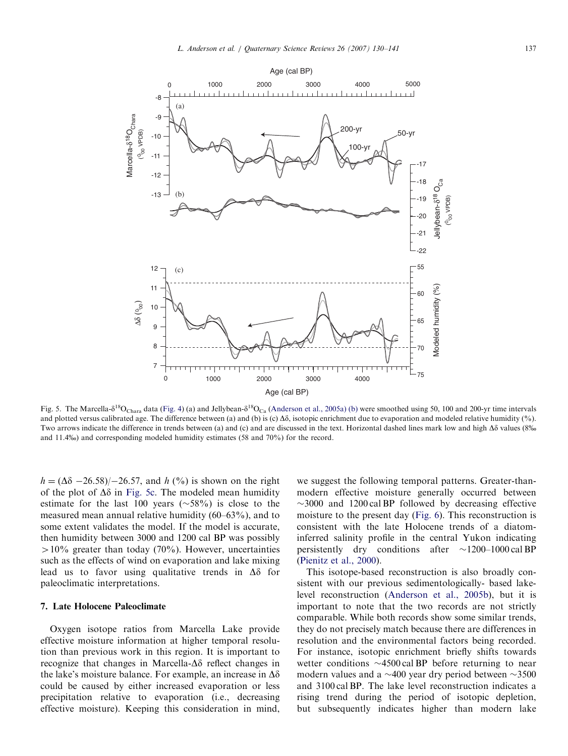<span id="page-7-0"></span>

Fig. 5. The Marcella- $\delta^{18}O_{Char}$  data ([Fig. 4](#page-6-0)) (a) and Jellybean- $\delta^{18}O_{Ca}$  [\(Anderson et al., 2005a\) \(b\)](#page-9-0) were smoothed using 50, 100 and 200-yr time intervals and plotted versus calibrated age. The difference between (a) and (b) is (c)  $\Delta\delta$ , isotopic enrichment due to evaporation and modeled relative humidity (%). Two arrows indicate the difference in trends between (a) and (c) and are discussed in the text. Horizontal dashed lines mark low and high  $\Delta\delta$  values (8‰ and 11.4%) and corresponding modeled humidity estimates (58 and 70%) for the record.

 $h = (\Delta \delta - 26.58)/-26.57$ , and h (%) is shown on the right of the plot of  $\Delta \delta$  in Fig. 5c. The modeled mean humidity estimate for the last 100 years  $(\sim 58\%)$  is close to the measured mean annual relative humidity (60–63%), and to some extent validates the model. If the model is accurate, then humidity between 3000 and 1200 cal BP was possibly  $>10\%$  greater than today (70%). However, uncertainties such as the effects of wind on evaporation and lake mixing lead us to favor using qualitative trends in  $\Delta\delta$  for paleoclimatic interpretations.

## 7. Late Holocene Paleoclimate

Oxygen isotope ratios from Marcella Lake provide effective moisture information at higher temporal resolution than previous work in this region. It is important to recognize that changes in Marcella- $\Delta\delta$  reflect changes in the lake's moisture balance. For example, an increase in  $\Delta\delta$ could be caused by either increased evaporation or less precipitation relative to evaporation (i.e., decreasing effective moisture). Keeping this consideration in mind, we suggest the following temporal patterns. Greater-thanmodern effective moisture generally occurred between  $\sim$ 3000 and 1200 cal BP followed by decreasing effective moisture to the present day ([Fig. 6\)](#page-8-0). This reconstruction is consistent with the late Holocene trends of a diatominferred salinity profile in the central Yukon indicating persistently dry conditions after  $\sim$ 1200–1000 cal BP ([Pienitz et al., 2000\)](#page-11-0).

This isotope-based reconstruction is also broadly consistent with our previous sedimentologically- based lakelevel reconstruction [\(Anderson et al., 2005b](#page-9-0)), but it is important to note that the two records are not strictly comparable. While both records show some similar trends, they do not precisely match because there are differences in resolution and the environmental factors being recorded. For instance, isotopic enrichment briefly shifts towards wetter conditions  $\sim$ 4500 cal BP before returning to near modern values and a  $\sim$ 400 year dry period between  $\sim$ 3500 and 3100 cal BP. The lake level reconstruction indicates a rising trend during the period of isotopic depletion, but subsequently indicates higher than modern lake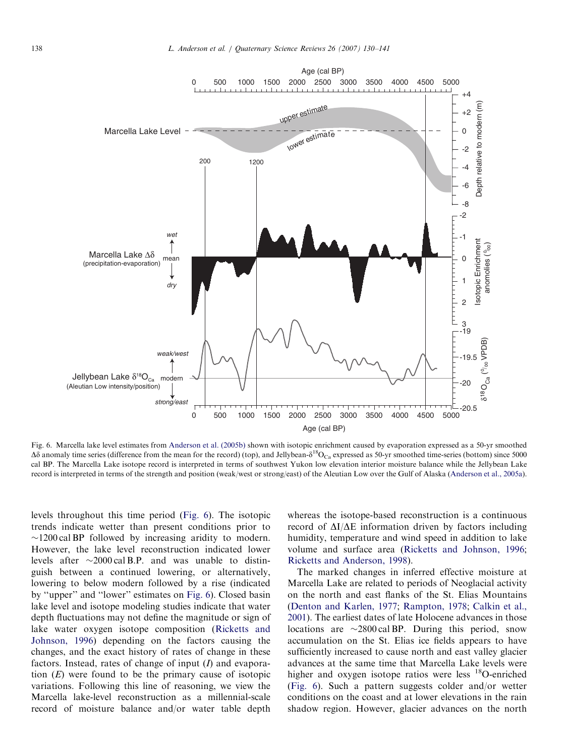<span id="page-8-0"></span>

Fig. 6. Marcella lake level estimates from [Anderson et al. \(2005b\)](#page-9-0) shown with isotopic enrichment caused by evaporation expressed as a 50-yr smoothed  $\Delta\delta$  anomaly time series (difference from the mean for the record) (top), and Jellybean- $\delta^{18}O_{Ca}$  expressed as 50-yr smoothed time-series (bottom) since 5000 cal BP. The Marcella Lake isotope record is interpreted in terms of southwest Yukon low elevation interior moisture balance while the Jellybean Lake record is interpreted in terms of the strength and position (weak/west or strong/east) of the Aleutian Low over the Gulf of Alaska [\(Anderson et al., 2005a\)](#page-9-0).

levels throughout this time period (Fig. 6). The isotopic trends indicate wetter than present conditions prior to  $\sim$ 1200 cal BP followed by increasing aridity to modern. However, the lake level reconstruction indicated lower levels after  $\sim$ 2000 cal B.P. and was unable to distinguish between a continued lowering, or alternatively, lowering to below modern followed by a rise (indicated by ''upper'' and ''lower'' estimates on Fig. 6). Closed basin lake level and isotope modeling studies indicate that water depth fluctuations may not define the magnitude or sign of lake water oxygen isotope composition ([Ricketts and](#page-11-0) [Johnson, 1996\)](#page-11-0) depending on the factors causing the changes, and the exact history of rates of change in these factors. Instead, rates of change of input  $(I)$  and evaporation  $(E)$  were found to be the primary cause of isotopic variations. Following this line of reasoning, we view the Marcella lake-level reconstruction as a millennial-scale record of moisture balance and/or water table depth

whereas the isotope-based reconstruction is a continuous record of  $\Delta I/\Delta E$  information driven by factors including humidity, temperature and wind speed in addition to lake volume and surface area [\(Ricketts and Johnson, 1996](#page-11-0); [Ricketts and Anderson, 1998](#page-11-0)).

The marked changes in inferred effective moisture at Marcella Lake are related to periods of Neoglacial activity on the north and east flanks of the St. Elias Mountains [\(Denton and Karlen, 1977;](#page-10-0) [Rampton, 1978;](#page-11-0) [Calkin et al.,](#page-10-0) [2001\)](#page-10-0). The earliest dates of late Holocene advances in those locations are  $\sim$ 2800 cal BP. During this period, snow accumulation on the St. Elias ice fields appears to have sufficiently increased to cause north and east valley glacier advances at the same time that Marcella Lake levels were higher and oxygen isotope ratios were less  $^{18}$ O-enriched (Fig. 6). Such a pattern suggests colder and/or wetter conditions on the coast and at lower elevations in the rain shadow region. However, glacier advances on the north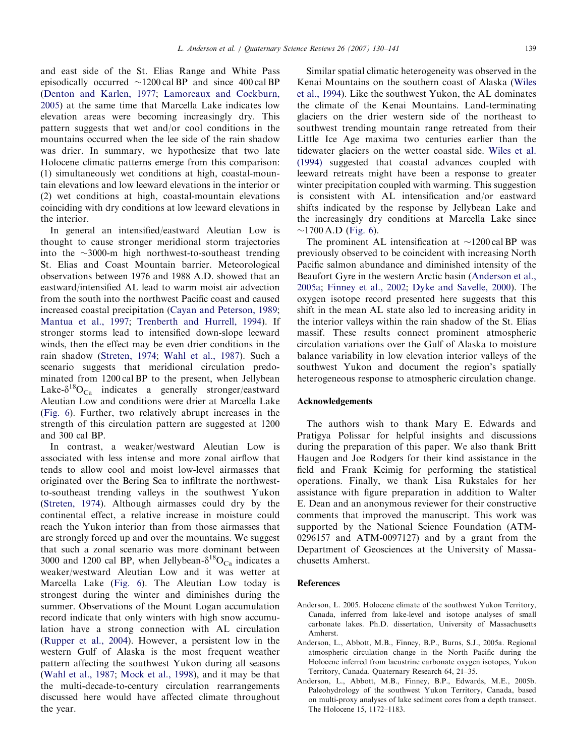<span id="page-9-0"></span>and east side of the St. Elias Range and White Pass episodically occurred  $\sim$ 1200 cal BP and since 400 cal BP ([Denton and Karlen, 1977](#page-10-0); [Lamoreaux and Cockburn,](#page-10-0) [2005](#page-10-0)) at the same time that Marcella Lake indicates low elevation areas were becoming increasingly dry. This pattern suggests that wet and/or cool conditions in the mountains occurred when the lee side of the rain shadow was drier. In summary, we hypothesize that two late Holocene climatic patterns emerge from this comparison: (1) simultaneously wet conditions at high, coastal-mountain elevations and low leeward elevations in the interior or (2) wet conditions at high, coastal-mountain elevations coinciding with dry conditions at low leeward elevations in the interior.

In general an intensified/eastward Aleutian Low is thought to cause stronger meridional storm trajectories into the  $\sim$ 3000-m high northwest-to-southeast trending St. Elias and Coast Mountain barrier. Meteorological observations between 1976 and 1988 A.D. showed that an eastward/intensified AL lead to warm moist air advection from the south into the northwest Pacific coast and caused increased coastal precipitation ([Cayan and Peterson, 1989;](#page-10-0) [Mantua et al., 1997](#page-10-0); [Trenberth and Hurrell, 1994](#page-11-0)). If stronger storms lead to intensified down-slope leeward winds, then the effect may be even drier conditions in the rain shadow ([Streten, 1974;](#page-11-0) [Wahl et al., 1987](#page-11-0)). Such a scenario suggests that meridional circulation predominated from 1200 cal BP to the present, when Jellybean Lake- $\delta^{18}O_{\text{Ca}}$  indicates a generally stronger/eastward Aleutian Low and conditions were drier at Marcella Lake ([Fig. 6](#page-8-0)). Further, two relatively abrupt increases in the strength of this circulation pattern are suggested at 1200 and 300 cal BP.

In contrast, a weaker/westward Aleutian Low is associated with less intense and more zonal airflow that tends to allow cool and moist low-level airmasses that originated over the Bering Sea to infiltrate the northwestto-southeast trending valleys in the southwest Yukon ([Streten, 1974](#page-11-0)). Although airmasses could dry by the continental effect, a relative increase in moisture could reach the Yukon interior than from those airmasses that are strongly forced up and over the mountains. We suggest that such a zonal scenario was more dominant between 3000 and 1200 cal BP, when Jellybean- $\delta^{18}O_{Ca}$  indicates a weaker/westward Aleutian Low and it was wetter at Marcella Lake [\(Fig. 6\)](#page-8-0). The Aleutian Low today is strongest during the winter and diminishes during the summer. Observations of the Mount Logan accumulation record indicate that only winters with high snow accumulation have a strong connection with AL circulation ([Rupper et al., 2004](#page-11-0)). However, a persistent low in the western Gulf of Alaska is the most frequent weather pattern affecting the southwest Yukon during all seasons ([Wahl et al., 1987](#page-11-0); [Mock et al., 1998\)](#page-10-0), and it may be that the multi-decade-to-century circulation rearrangements discussed here would have affected climate throughout the year.

Similar spatial climatic heterogeneity was observed in the Kenai Mountains on the southern coast of Alaska [\(Wiles](#page-11-0) [et al., 1994\)](#page-11-0). Like the southwest Yukon, the AL dominates the climate of the Kenai Mountains. Land-terminating glaciers on the drier western side of the northeast to southwest trending mountain range retreated from their Little Ice Age maxima two centuries earlier than the tidewater glaciers on the wetter coastal side. [Wiles et al.](#page-11-0) [\(1994\)](#page-11-0) suggested that coastal advances coupled with leeward retreats might have been a response to greater winter precipitation coupled with warming. This suggestion is consistent with AL intensification and/or eastward shifts indicated by the response by Jellybean Lake and the increasingly dry conditions at Marcella Lake since  $\sim$ 1700 A.D [\(Fig. 6\)](#page-8-0).

The prominent AL intensification at  $\sim$ 1200 cal BP was previously observed to be coincident with increasing North Pacific salmon abundance and diminished intensity of the Beaufort Gyre in the western Arctic basin (Anderson et al., 2005a; [Finney et al., 2002;](#page-10-0) [Dyke and Savelle, 2000\)](#page-10-0). The oxygen isotope record presented here suggests that this shift in the mean AL state also led to increasing aridity in the interior valleys within the rain shadow of the St. Elias massif. These results connect prominent atmospheric circulation variations over the Gulf of Alaska to moisture balance variability in low elevation interior valleys of the southwest Yukon and document the region's spatially heterogeneous response to atmospheric circulation change.

#### Acknowledgements

The authors wish to thank Mary E. Edwards and Pratigya Polissar for helpful insights and discussions during the preparation of this paper. We also thank Britt Haugen and Joe Rodgers for their kind assistance in the field and Frank Keimig for performing the statistical operations. Finally, we thank Lisa Rukstales for her assistance with figure preparation in addition to Walter E. Dean and an anonymous reviewer for their constructive comments that improved the manuscript. This work was supported by the National Science Foundation (ATM-0296157 and ATM-0097127) and by a grant from the Department of Geosciences at the University of Massachusetts Amherst.

#### References

- Anderson, L. 2005. Holocene climate of the southwest Yukon Territory, Canada, inferred from lake-level and isotope analyses of small carbonate lakes. Ph.D. dissertation, University of Massachusetts Amherst.
- Anderson, L., Abbott, M.B., Finney, B.P., Burns, S.J., 2005a. Regional atmospheric circulation change in the North Pacific during the Holocene inferred from lacustrine carbonate oxygen isotopes, Yukon Territory, Canada. Quaternary Research 64, 21–35.
- Anderson, L., Abbott, M.B., Finney, B.P., Edwards, M.E., 2005b. Paleohydrology of the southwest Yukon Territory, Canada, based on multi-proxy analyses of lake sediment cores from a depth transect. The Holocene 15, 1172–1183.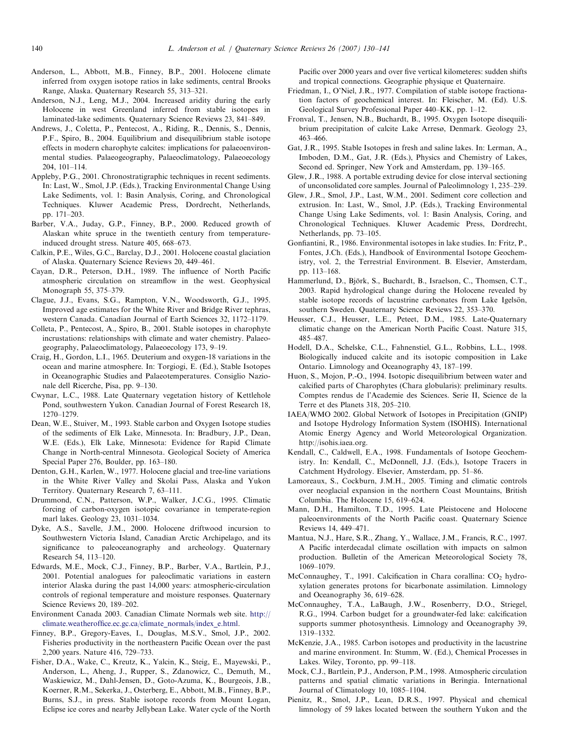- <span id="page-10-0"></span>Anderson, L., Abbott, M.B., Finney, B.P., 2001. Holocene climate inferred from oxygen isotope ratios in lake sediments, central Brooks Range, Alaska. Quaternary Research 55, 313–321.
- Anderson, N.J., Leng, M.J., 2004. Increased aridity during the early Holocene in west Greenland inferred from stable isotopes in laminated-lake sediments. Quaternary Science Reviews 23, 841–849.
- Andrews, J., Coletta, P., Pentecost, A., Riding, R., Dennis, S., Dennis, P.F., Spiro, B., 2004. Equilibrium and disequilibrium stable isotope effects in modern charophyte calcites: implications for palaeoenvironmental studies. Palaeogeography, Palaeoclimatology, Palaeoecology 204, 101–114.
- Appleby, P.G., 2001. Chronostratigraphic techniques in recent sediments. In: Last, W., Smol, J.P. (Eds.), Tracking Environmental Change Using Lake Sediments, vol. 1: Basin Analysis, Coring, and Chronological Techniques. Kluwer Academic Press, Dordrecht, Netherlands, pp. 171–203.
- Barber, V.A., Juday, G.P., Finney, B.P., 2000. Reduced growth of Alaskan white spruce in the twentieth century from temperatureinduced drought stress. Nature 405, 668–673.
- Calkin, P.E., Wiles, G.C., Barclay, D.J., 2001. Holocene coastal glaciation of Alaska. Quaternary Science Reviews 20, 449–461.
- Cayan, D.R., Peterson, D.H., 1989. The influence of North Pacific atmospheric circulation on streamflow in the west. Geophysical Monograph 55, 375–379.
- Clague, J.J., Evans, S.G., Rampton, V.N., Woodsworth, G.J., 1995. Improved age estimates for the White River and Bridge River tephras, western Canada. Canadian Journal of Earth Sciences 32, 1172–1179.
- Colleta, P., Pentecost, A., Spiro, B., 2001. Stable isotopes in charophyte incrustations: relationships with climate and water chemistry. Palaeogeography, Palaeoclimatology, Palaeoecology 173, 9–19.
- Craig, H., Gordon, L.I., 1965. Deuterium and oxygen-18 variations in the ocean and marine atmosphere. In: Torgiogi, E. (Ed.), Stable Isotopes in Oceanographic Studies and Palaeotemperatures. Consiglio Nazionale dell Ricerche, Pisa, pp. 9–130.
- Cwynar, L.C., 1988. Late Quaternary vegetation history of Kettlehole Pond, southwestern Yukon. Canadian Journal of Forest Research 18, 1270–1279.
- Dean, W.E., Stuiver, M., 1993. Stable carbon and Oxygen Isotope studies of the sediments of Elk Lake, Minnesota. In: Bradbury, J.P., Dean, W.E. (Eds.), Elk Lake, Minnesota: Evidence for Rapid Climate Change in North-central Minnesota. Geological Society of America Special Paper 276, Boulder, pp. 163–180.
- Denton, G.H., Karlen, W., 1977. Holocene glacial and tree-line variations in the White River Valley and Skolai Pass, Alaska and Yukon Territory. Quaternary Research 7, 63–111.
- Drummond, C.N., Patterson, W.P., Walker, J.C.G., 1995. Climatic forcing of carbon-oxygen isotopic covariance in temperate-region marl lakes. Geology 23, 1031–1034.
- Dyke, A.S., Savelle, J.M., 2000. Holocene driftwood incursion to Southwestern Victoria Island, Canadian Arctic Archipelago, and its significance to paleoceanography and archeology. Quaternary Research 54, 113–120.
- Edwards, M.E., Mock, C.J., Finney, B.P., Barber, V.A., Bartlein, P.J., 2001. Potential analogues for paleoclimatic variations in eastern interior Alaska during the past 14,000 years: atmospheric-circulation controls of regional temperature and moisture responses. Quaternary Science Reviews 20, 189–202.
- Environment Canada 2003. Canadian Climate Normals web site. [http://](http://climate.weatheroffice.ec.gc.ca/climate_normals/index_e.html) [climate.weatheroffice.ec.gc.ca/climate\\_normals/index\\_e.html.](http://climate.weatheroffice.ec.gc.ca/climate_normals/index_e.html)
- Finney, B.P., Gregory-Eaves, I., Douglas, M.S.V., Smol, J.P., 2002. Fisheries productivity in the northeastern Pacific Ocean over the past 2,200 years. Nature 416, 729–733.
- Fisher, D.A., Wake, C., Kreutz, K., Yalcin, K., Steig, E., Mayewski, P., Anderson, L., Aheng, J., Rupper, S., Zdanowicz, C., Demuth, M., Waskiewicz, M., Dahl-Jensen, D., Goto-Azuma, K., Bourgeois, J.B., Koerner, R.M., Sekerka, J., Osterberg, E., Abbott, M.B., Finney, B.P., Burns, S.J., in press. Stable isotope records from Mount Logan, Eclipse ice cores and nearby Jellybean Lake. Water cycle of the North

Pacific over 2000 years and over five vertical kilometeres: sudden shifts and tropical connections. Geographie physique et Quaternaire.

- Friedman, I., O'Niel, J.R., 1977. Compilation of stable isotope fractionation factors of geochemical interest. In: Fleischer, M. (Ed). U.S. Geological Survey Professional Paper 440–KK, pp. 1–12.
- Fronval, T., Jensen, N.B., Buchardt, B., 1995. Oxygen Isotope disequilibrium precipitation of calcite Lake Arresø, Denmark. Geology 23, 463–466.
- Gat, J.R., 1995. Stable Isotopes in fresh and saline lakes. In: Lerman, A., Imboden, D.M., Gat, J.R. (Eds.), Physics and Chemistry of Lakes, Second ed. Springer, New York and Amsterdam, pp. 139–165.
- Glew, J.R., 1988. A portable extruding device for close interval sectioning of unconsolidated core samples. Journal of Paleolimnology 1, 235–239.
- Glew, J.R., Smol, J.P., Last, W.M., 2001. Sediment core collection and extrusion. In: Last, W., Smol, J.P. (Eds.), Tracking Environmental Change Using Lake Sediments, vol. 1: Basin Analysis, Coring, and Chronological Techniques. Kluwer Academic Press, Dordrecht, Netherlands, pp. 73–105.
- Gonfiantini, R., 1986. Environmental isotopes in lake studies. In: Fritz, P., Fontes, J.Ch. (Eds.), Handbook of Environmental Isotope Geochemistry, vol. 2, the Terrestrial Environment. B. Elsevier, Amsterdam, pp. 113–168.
- Hammerlund, D., Björk, S., Buchardt, B., Israelson, C., Thomsen, C.T., 2003. Rapid hydrological change during the Holocene revealed by stable isotope records of lacustrine carbonates from Lake Igelsön, southern Sweden. Quaternary Science Reviews 22, 353–370.
- Heusser, C.J., Heusser, L.E., Peteet, D.M., 1985. Late-Quaternary climatic change on the American North Pacific Coast. Nature 315, 485–487.
- Hodell, D.A., Schelske, C.L., Fahnenstiel, G.L., Robbins, L.L., 1998. Biologically induced calcite and its isotopic composition in Lake Ontario. Limnology and Oceanography 43, 187–199.
- Huon, S., Mojon, P.-O., 1994. Isotopic disequilibrium between water and calcified parts of Charophytes (Chara globularis): preliminary results. Comptes rendus de l'Academie des Sciences. Serie II, Science de la Terre et des Planets 318, 205–210.
- IAEA/WMO 2002. Global Network of Isotopes in Precipitation (GNIP) and Isotope Hydrology Information System (ISOHIS). International Atomic Energy Agency and World Meteorological Organization. http://isohis.iaea.org.
- Kendall, C., Caldwell, E.A., 1998. Fundamentals of Isotope Geochemistry. In: Kendall, C., McDonnell, J.J. (Eds.), Isotope Tracers in Catchment Hydrology. Elsevier, Amsterdam, pp. 51–86.
- Lamoreaux, S., Cockburn, J.M.H., 2005. Timing and climatic controls over neoglacial expansion in the northern Coast Mountains, British Columbia. The Holocene 15, 619–624.
- Mann, D.H., Hamilton, T.D., 1995. Late Pleistocene and Holocene paleoenvironments of the North Pacific coast. Quaternary Science Reviews 14, 449–471.
- Mantua, N.J., Hare, S.R., Zhang, Y., Wallace, J.M., Francis, R.C., 1997. A Pacific interdecadal climate oscillation with impacts on salmon production. Bulletin of the American Meteorological Society 78, 1069–1079.
- McConnaughey, T., 1991. Calcification in Chara corallina:  $CO<sub>2</sub>$  hydroxylation generates protons for bicarbonate assimilation. Limnology and Oceanography 36, 619–628.
- McConnaughey, T.A., LaBaugh, J.W., Rosenberry, D.O., Striegel, R.G., 1994. Carbon budget for a groundwater-fed lake: calcification supports summer photosynthesis. Limnology and Oceanography 39, 1319–1332.
- McKenzie, J.A., 1985. Carbon isotopes and productivity in the lacustrine and marine environment. In: Stumm, W. (Ed.), Chemical Processes in Lakes. Wiley, Toronto, pp. 99–118.
- Mock, C.J., Bartlein, P.J., Anderson, P.M., 1998. Atmospheric circulation patterns and spatial climatic variations in Beringia. International Journal of Climatology 10, 1085–1104.
- Pienitz, R., Smol, J.P., Lean, D.R.S., 1997. Physical and chemical limnology of 59 lakes located between the southern Yukon and the